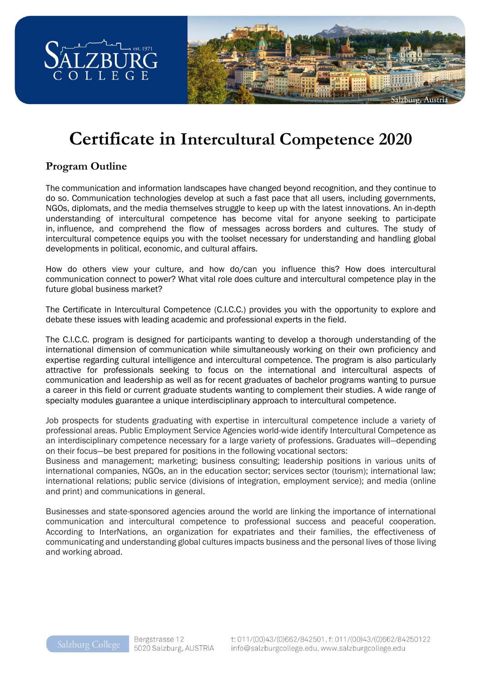

# **Certificate in Intercultural Competence 2020**

# **Program Outline**

The communication and information landscapes have changed beyond recognition, and they continue to do so. Communication technologies develop at such a fast pace that all users, including governments, NGOs, diplomats, and the media themselves struggle to keep up with the latest innovations. An in-depth understanding of intercultural competence has become vital for anyone seeking to participate in, influence, and comprehend the flow of messages across borders and cultures. The study of intercultural competence equips you with the toolset necessary for understanding and handling global developments in political, economic, and cultural affairs.

How do others view your culture, and how do/can you influence this? How does intercultural communication connect to power? What vital role does culture and intercultural competence play in the future global business market?

The Certificate in Intercultural Competence (C.I.C.C.) provides you with the opportunity to explore and debate these issues with leading academic and professional experts in the field.

The C.I.C.C. program is designed for participants wanting to develop a thorough understanding of the international dimension of communication while simultaneously working on their own proficiency and expertise regarding cultural intelligence and intercultural competence. The program is also particularly attractive for professionals seeking to focus on the international and intercultural aspects of communication and leadership as well as for recent graduates of bachelor programs wanting to pursue a career in this field or current graduate students wanting to complement their studies. A wide range of specialty modules guarantee a unique interdisciplinary approach to intercultural competence.

Job prospects for students graduating with expertise in intercultural competence include a variety of professional areas. Public Employment Service Agencies world-wide identify Intercultural Competence as an interdisciplinary competence necessary for a large variety of professions. Graduates will—depending on their focus—be best prepared for positions in the following vocational sectors:

Business and management; marketing; business consulting; leadership positions in various units of international companies, NGOs, an in the education sector; services sector (tourism); international law; international relations; public service (divisions of integration, employment service); and media (online and print) and communications in general.

Businesses and state-sponsored agencies around the world are linking the importance of international communication and intercultural competence to professional success and peaceful cooperation. According to InterNations, an organization for expatriates and their families, the effectiveness of communicating and understanding global cultures impacts business and the personal lives of those living and working abroad.

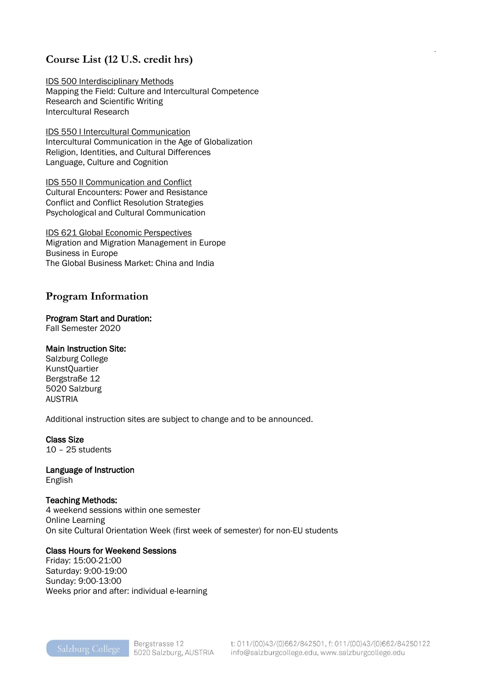## **Course List (12 U.S. credit hrs)**

IDS 500 Interdisciplinary Methods Mapping the Field: Culture and Intercultural Competence Research and Scientific Writing Intercultural Research

IDS 550 I Intercultural Communication Intercultural Communication in the Age of Globalization Religion, Identities, and Cultural Differences Language, Culture and Cognition

IDS 550 II Communication and Conflict Cultural Encounters: Power and Resistance Conflict and Conflict Resolution Strategies Psychological and Cultural Communication

IDS 621 Global Economic Perspectives Migration and Migration Management in Europe Business in Europe The Global Business Market: China and India

### **Program Information**

#### Program Start and Duration:

Fall Semester 2020

#### Main Instruction Site:

Salzburg College KunstQuartier Bergstraße 12 5020 Salzburg AUSTRIA

Additional instruction sites are subject to change and to be announced.

#### Class Size

10 – 25 students

# Language of Instruction

English

#### Teaching Methods:

4 weekend sessions within one semester Online Learning On site Cultural Orientation Week (first week of semester) for non-EU students

#### Class Hours for Weekend Sessions

Friday: 15:00-21:00 Saturday: 9:00-19:00 Sunday: 9:00-13:00 Weeks prior and after: individual e-learning .